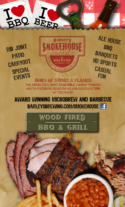

**RIB JOINT** PATIO CARRYOUT SPECIAL **EVENTS** 



ALE HOUSE BBQ **BANQUETS** HD SPORTS CASUAL **FUN** 

**BORN OF SMOKE & FLAMES** THE ABSOLUTELY, MOST INCREDIBLE, TONGUE-TINGLING. MOUTH-WATERING, SENSATIONAL AND SUCCULENT BBQ ON THE PLANET

**AWARD WINNING MICROBREW AND BARBECUE BARLEYSBREWING.COM/SMOKEHOUSE | 1** 

> **WOOD FIRED BBQ & GRILL**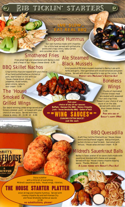# RIB TICKLIN<sup>®</sup> STARTERS

# Chipotle Hummus

LIVE SLOW...

**LIVE SLOW...** 

EAT REAL BBQ

EAT REAL BBQ

 Our own hummus made with chipotles for a little heat served with grilled pita points and crispy celery, baby carrots and cucumber slices - 6.99

# Smothered Fries

 Fries piled high and smothered with Barley's chili and a heap of our 'House cheese blend - 6.99

# BBQ Skillet Nachos

Crisp tortilla chips are topped with your choice of our hand-pulled barbecue chicken or pork, beef brisket or chili with our 'House cheese blend, olives, jalapenos, diced tomato, green onions, salsa & sour cream - 9.99

# The 'House Smoked & Grilled Wings

**ARLEY'S** 

**ALE HO** 

Our award-winning jumbo wings served plain hickory-smoked -yum! - or tossed with your choice of one sauce. Served with bleu cheese & celery 20 - 15.99 10 - 8.99

# Ale Steamed Black Mussels

**Pick your choice of any of our sauces: Buffalo - Kansas City BBQ - Honey Chipotle Jerk - Texas Smokedip BBQ - Gates of Hell**

> **CRAVING EXTRA SAUCE? just 50c each**

-=WING SAUCES=-

A full pound of PEI black mussels steamed in Barley's ale with herbs and garlic, then garnished with diced tomatoes and green onions. Served with sliced baguette to sop up the juices - 9.99 **PERFECT WITH MACLENNY'S SCOTTISH ALE!**

> Boneless **Wings**

 Chunks of marinated chicken breast meat are dusted with seasoned flour and crisp-fried. Tossed in your choice of one sauce or on the side. Served with celery and blue cheese dressing - 6.99

 **PAIR WITH ONE OF BARLEY'S HOPPY IPAS!**

# BBQ Quesadilla

A soft flour tortilla filled with our 'House cheese blend and Southwest veggies. Add pulled pork, pulled chicken or beef brisket. Garnished with lettuce, 'House salsa and sour cream - 9.29

# Mildred's Sauerkraut Balls

Barley's classic platter of six savory balls made with sauerkraut blended with cheese and sausage. Served with our 'House creamy chipotle dipping sauce. Thanks, Mildred! - 6.29  **A CLASSIC PAIRING WITH BARLEY'S PALE ALE!**

Enjoy a platter with a little bit of everything: Mildred's sauerkraut balls, 'House wings, riblettes,

# onion strings and chipotle hummus. Served with THE HOUSE STARTER PLATTER

creamy chipotle dip and both Kansas City and Texas Smokedip barbecue sauces 12.99

**no substitutions, please!**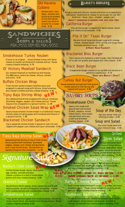

#### Old Havana Cubano

Smoked pork, ham, Swiss, mustard and pickle slices pressed on the flat-top between two slices of brioche for a Cuban treat - 8.29



#### Smokehouse Turkey Reuben

A twist on an original... sliced smoked turkey with Swiss cheese on marble rye bread with coleslaw and our 'House creamy chipotle dressing - 8.79

#### Ol' Hickory Meatloaf Sandwich

Our smoked meatloaf on marbled rye with Kansas City BBQ sauce, American cheese, lettuce, tomato and onion - 8.59

#### Buffalo Chicken Wrap

Fried chicken tenders tossed in Buffalo sauce and wrapped in a spinach wrap with lettuce, diced tomatoes, bleu cheese crumbles and bleu cheese dressing - 8.99

#### Tipsy Baja Shrimp Wrap NEW!

Dry rubbed grilled shrimp wrapped with lettuce, tomatoes, Southwest veggies, pepper-jack cheese and our 'House tequila-lime vinaigrette in a spinach tortilla - 11.99

# **Smoked Chicken Salad Wrap NEW!**

Savory house-smoked chicken breast in a traditional creamy chicken salad including grapes with tomatoes and lettuce in a spinach tortilla - 7.99

#### Blackened Chicken Sandwich

Cajun seasoned chicken breast is seared on cast iron and topped with pepper-jack cheese and Cajun remoulade - 8.99

#### Tipsy Baja Shrimp Salad NEW!

Seasoned grilled shrimp on top of fresh mixed lettuce greens with tomatoes, Southwest veggies, pepper-jack cheese and garnished with crispy tortilla strips. Served with our signature tequila-lime vinaigrette - 11.99

# *Signature*

#### Barley's Cobb Salad

Grilled chicken breast, bacon, hard-boiled egg, tomato, avocado and bleu cheese crumbles on a bed of mixed salad greens with bleu cheese dressing - 9.99 NEW!

#### Granny's Salad

Sliced Granny Smith apples, dried cranberries and mixed lettuce greens, served with balsamic vinaigrette. Topped with candied walnuts and crumbled bleu cheese - 8.99

#### Smokehouse Salad

Fresh garden greens topped with diced tomatoes, red onions, house cheese blend, ale-washed onion strings and our 'House creamy chipotle dressing - 6.99

# **BARLEY'S BURGERS**

Burgers come with lettuce, tomato and onion on a toasted bun. Add bacon, mushrooms or cheese to any burger for just 79c! American - Swiss - bleu - cheddar - pepper-jack **BARLEY'S SANDWICHES & BURGERS COME WITH CRISP FRIES**

#### California Burger

 Char-grilled burger is topped with Swiss cheese, bacon and freshly sliced avocado - 9.99

### Pile It On" Texas Burger

 We pile this All American burger large with cheddar cheese, smoked bacon, onion strings and tangy Texas Smokedip barbecue sauce - 9.99 **A HAPPY HOUR FAVORITE!**

### Blackened Bleu Burger

Cajun spices are dusted on a beef burger, then finished off on a cast iron griddle and topped with bleu cheese - 8.99

### Black Bean Burger

 A vegetarian burger cooked on our griddle and served on a perfectly toasted bun - 8.79  **GREAT WITH BARLEY'S STOUT!**

Turkey Nut Burger 'House seasoned and pattied fresh ground turkey seared on the flat top and topped with pecans - 8.99

# SAVORY SOUPS

### Smokehouse Chili

Hearty chili made with ground beef and smoked brisket, peppers, onions, kidney beans, black beans and garnished with sour cream and shredded cheddar cheese - 4.99

## Soup of the Day

Ask your server what our offering is today - 4.99

#### Soup and Salad

Our small house salad and your choice of soup - 8.99

### Grilled Steak Salad

 Grilled marinated steak on a bed of mixed lettuce, Southwest vegetables, diced tomatoes, red onion and our 'House cheese blend and fries. Served with ranch dressing - 11.99

# Buffalo Chicken Salad

 Seasoned tenders tossed in Buffalo sauce on top of lettuce greens with Southwest veggies, diced tomatoes and bleu cheese dressing and crumbles - 9.99

want more? grilled chicken, steak or Baja shrimp - 3.99 ADD: pulled chicken, pork or brisket - 2.99

### Barley's 'House Salad

Fresh mixed salad greens with tomato, cucumber, red onion, shredded carrot, 'House cheese blend and croutons served with our 'House creamy chipotle dressing - 7.99 NEW!

#### Southwest Barbecue Salad

Pulled chicken and pork, cheddar and pepper-jack, Southwest veggies, diced tomato and avocado on a bed of lettuce, served with our creamy chipotle dressing - 9.99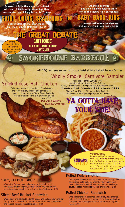

for up to 14 hours until fork tender, then sliced on a brioche bun and topped with our Texas BBQ sauce - 8.99

# a brioche roll and topped with our own Kansas City BBQ

sauce- 8.59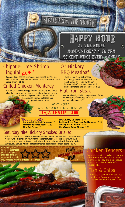

# Chipotle-Lime Shrimp Linguini <sub>N</sub>E<sup>W!</sup>

Seasoned and seared shrimp on linguini with our 'House chipotle-lime cream sauce garnished with diced tomato and green onion - 11.99

# Grilled Chicken Monterey

Grilled chicken breast topped with KansasCity BBQ sauce, cheddar cheese and smoked bacon. Garnished with diced tomato and green onion. Served with horseradish mashed potatoes and green beans - 10.99

# Ol' Hickory BBQ Meatloaf

House recipe meatloaf smoked in our BBQ pit with hardwood hickory, then finished on the grill with our Kansas City BBQ sauce on horseradish mashed potatoes and green beans - 9.99

**HAPPY HOUR** 

**AT THE HOUSE** 

MONDAY-FRIDAY 4 TO 7PM

55 CENT WINGS EVERY MONDAY

# Flat Iron Steak

Marinated and grilled to temperature. Served with horseradish mashed potatoes and green beans - 15.99

WANT MORE? ADD TO YOUR CHICKEN OR STEAK

<u>ECHAN WAS NAME</u>

ŋ

BAJA SHRIMP - 3.99

#### 'HOUSE SIDES **Low Country Coleslaw** - 2.59

**Horseradish Mashed Potatoes** - 2.59 **Brisket Bits Baked Beans** - 2.59 **Thin Cut Fries** - 2.59

**Garlicky Green Beans and Red Peppers** - 2.99 **Creamy Mac & Cheese** - 2.99 **Ale-Washed Onion Strings** - 2.99

**100%** 

RBU

итсков

# Saturday Nite Hickory Smoked Brisket

This is it! We dry rub whole briskets on Friday, then smoke overnight using hardwood hickory until it is melt-in-your-mouth tender Saturday Nite. We expertly trim, slice and serve you the most tender beef brisket in town, slathered with Texas SmokeDip BBQ sauce. Served with horseradish mashed potatoes and green beans - 13.79

Consuming raw or undercooked meats, poultry, seafood, shellfish, eggs or unpasteurized milk

may increase your risk of foodborne illne

# Chicken Tenders

 Our southern-spiced chicken tenders are crisp-fried to a golden brown. Served with fries, coleslaw and dipping sauce **- 8.99 Toss in house made Buffalo** sauce add 1.

# ish & Chips

 Six ounces of beer battered cod fried until flakey. Served with coleslaw, fries and house tartar sauce - 8.99

*<u>Programm</u>*